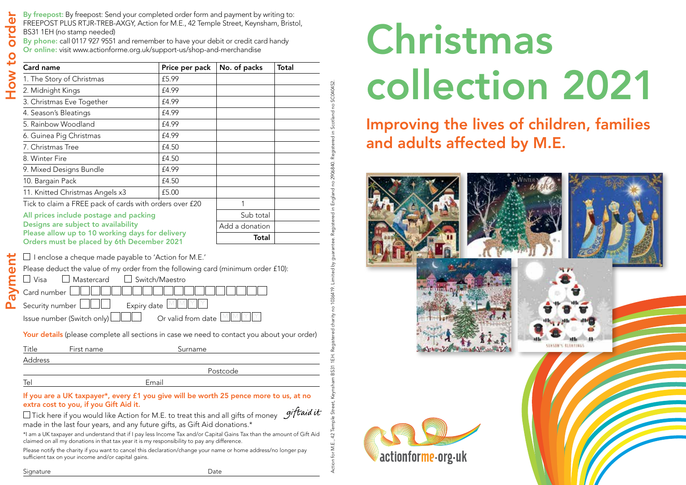By freepost: By freepost: Send your completed order form and payment by writing to:

FREEPOST PLUS RTJR-TREB-AXGY, Action for M.E., 42 Temple Street, Keynsham, Bristol,

BS31 1EH (no stamp needed)

By phone: call 0117 927 9551 and remember to have your debit or credit card handy

Or online: visit www.actionforme.org.uk/support-us/shop-and-merchandise

| How t  | <b>Card name</b>                                                                                                                                                                                                                                                                                                      | Price per pack | No. of packs   | Total |
|--------|-----------------------------------------------------------------------------------------------------------------------------------------------------------------------------------------------------------------------------------------------------------------------------------------------------------------------|----------------|----------------|-------|
|        | 1. The Story of Christmas                                                                                                                                                                                                                                                                                             | £5.99          |                |       |
|        | 2. Midnight Kings                                                                                                                                                                                                                                                                                                     | £4.99          |                |       |
|        | 3. Christmas Eve Together                                                                                                                                                                                                                                                                                             | £4.99          |                |       |
|        | 4. Season's Bleatings                                                                                                                                                                                                                                                                                                 | £4.99          |                |       |
|        | 5. Rainbow Woodland                                                                                                                                                                                                                                                                                                   | £4.99          |                |       |
|        | 6. Guinea Pig Christmas                                                                                                                                                                                                                                                                                               | £4.99          |                |       |
|        | 7. Christmas Tree                                                                                                                                                                                                                                                                                                     | £4.50          |                |       |
|        | 8. Winter Fire                                                                                                                                                                                                                                                                                                        | £4.50          |                |       |
|        | 9. Mixed Designs Bundle                                                                                                                                                                                                                                                                                               | £4.99          |                |       |
|        | 10. Bargain Pack                                                                                                                                                                                                                                                                                                      | £4.50          |                |       |
|        | 11. Knitted Christmas Angels x3                                                                                                                                                                                                                                                                                       | £5.00          |                |       |
|        | Tick to claim a FREE pack of cards with orders over £20                                                                                                                                                                                                                                                               |                | 1              |       |
|        | All prices include postage and packing                                                                                                                                                                                                                                                                                |                | Sub total      |       |
|        | Designs are subject to availability                                                                                                                                                                                                                                                                                   |                | Add a donation |       |
|        | Please allow up to 10 working days for delivery<br>Orders must be placed by 6th December 2021                                                                                                                                                                                                                         |                | Total          |       |
| avment | $\perp$ Visa<br>Mastercard<br>Switch/Maestro<br>Card number<br>Security number<br>Expiry date<br>Or valid from date<br>Issue number (Switch only)<br>Your details (please complete all sections in case we need to contact you about your order)<br>Title<br>Surname<br>First name                                    |                |                |       |
|        | Address                                                                                                                                                                                                                                                                                                               |                |                |       |
|        | Postcode                                                                                                                                                                                                                                                                                                              |                |                |       |
|        | Tel<br>Email                                                                                                                                                                                                                                                                                                          |                |                |       |
|        | If you are a UK taxpayer*, every £1 you give will be worth 25 pence more to us, at no<br>extra cost to you, if you Gift Aid it.                                                                                                                                                                                       |                |                |       |
|        | Tick here if you would like Action for M.E. to treat this and all gifts of money $\mathscr{G}$ . $\mathscr{G}$<br>made in the last four years, and any future gifts, as Gift Aid donations.*<br>*I am a UK taxpayer and understand that if I pay less Income Tax and/or Capital Gains Tax than the amount of Gift Aid |                |                |       |

Please notify the charity if you want to cancel this declaration/change your name or home address/no longer pay sufficient tax on your income and/or capital gains.

Action for M.E., 42 Temple Street, Keynsham BS31 1EH. Registered charity no 1036419. Limited by guarantee. Registered in England no 2906840. Registered in Scotland no SC040452.

SC040452.

no 2906840

Registered in England

# Christmas collection 2021

### Improving the lives of children, families and adults affected by M.E.